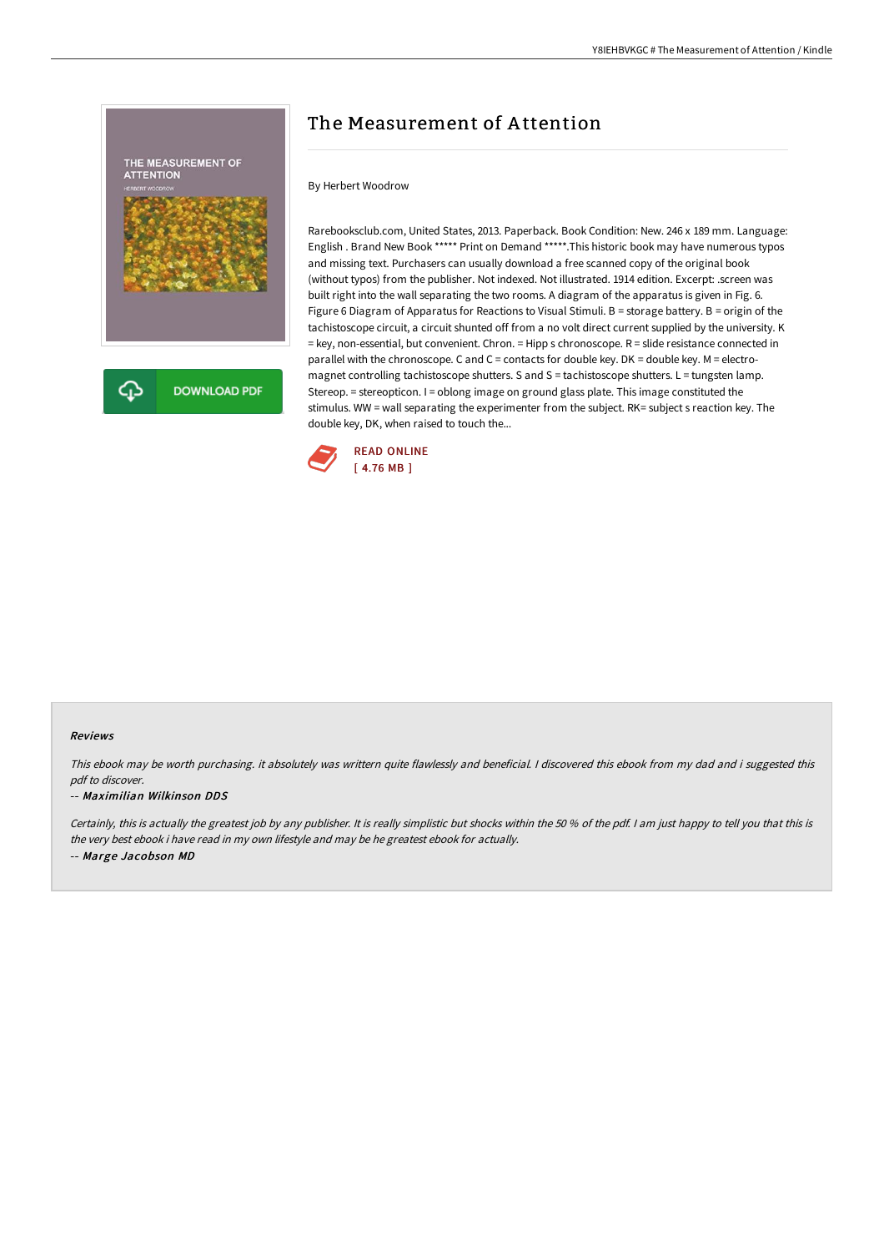

# The Measurement of A ttention

# By Herbert Woodrow

Rarebooksclub.com, United States, 2013. Paperback. Book Condition: New. 246 x 189 mm. Language: English . Brand New Book \*\*\*\*\* Print on Demand \*\*\*\*\*.This historic book may have numerous typos and missing text. Purchasers can usually download a free scanned copy of the original book (without typos) from the publisher. Not indexed. Not illustrated. 1914 edition. Excerpt: .screen was built right into the wall separating the two rooms. A diagram of the apparatus is given in Fig. 6. Figure 6 Diagram of Apparatus for Reactions to Visual Stimuli. B = storage battery. B = origin of the tachistoscope circuit, a circuit shunted off from a no volt direct current supplied by the university. K = key, non-essential, but convenient. Chron. = Hipp s chronoscope. R = slide resistance connected in parallel with the chronoscope. C and C = contacts for double key. DK = double key. M = electromagnet controlling tachistoscope shutters. S and S = tachistoscope shutters. L = tungsten lamp. Stereop. = stereopticon. I = oblong image on ground glass plate. This image constituted the stimulus. WW = wall separating the experimenter from the subject. RK= subject s reaction key. The double key, DK, when raised to touch the...



### Reviews

This ebook may be worth purchasing. it absolutely was writtern quite flawlessly and beneficial. <sup>I</sup> discovered this ebook from my dad and i suggested this pdf to discover.

#### -- Maximilian Wilkinson DDS

Certainly, this is actually the greatest job by any publisher. It is really simplistic but shocks within the 50 % of the pdf. I am just happy to tell you that this is the very best ebook i have read in my own lifestyle and may be he greatest ebook for actually. -- Marge Jacobson MD